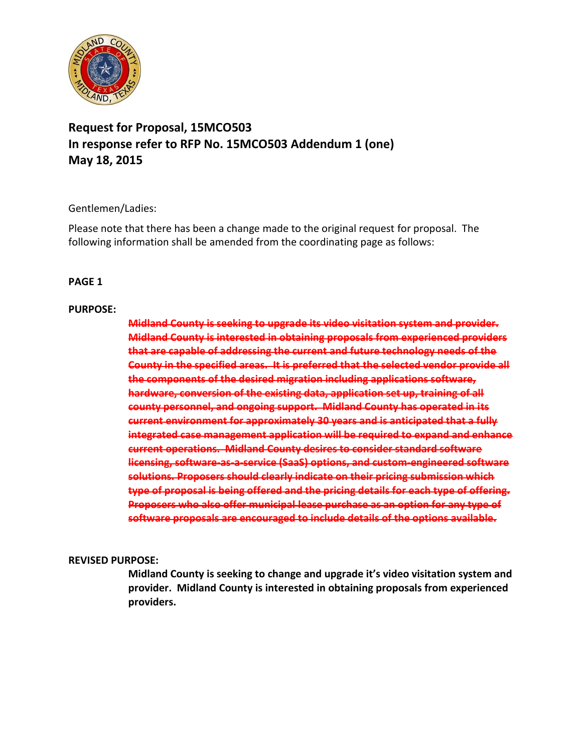

# **Request for Proposal, 15MCO503 In response refer to RFP No. 15MCO503 Addendum 1 (one) May 18, 2015**

### Gentlemen/Ladies:

Please note that there has been a change made to the original request for proposal. The following information shall be amended from the coordinating page as follows:

### **PAGE 1**

#### **PURPOSE:**

**Midland County is seeking to upgrade its video visitation system and provider. Midland County is interested in obtaining proposals from experienced providers that are capable of addressing the current and future technology needs of the County in the specified areas. It is preferred that the selected vendor provide all the components of the desired migration including applications software, hardware, conversion of the existing data, application set up, training of all county personnel, and ongoing support. Midland County has operated in its current environment for approximately 30 years and is anticipated that a fully integrated case management application will be required to expand and enhance current operations. Midland County desires to consider standard software licensing, software‐as‐a‐service (SaaS) options, and custom‐engineered software solutions. Proposers should clearly indicate on their pricing submission which type of proposal is being offered and the pricing details for each type of offering. Proposers who also offer municipal lease purchase as an option for any type of software proposals are encouraged to include details of the options available.**

#### **REVISED PURPOSE:**

**Midland County is seeking to change and upgrade it's video visitation system and provider. Midland County is interested in obtaining proposals from experienced providers.**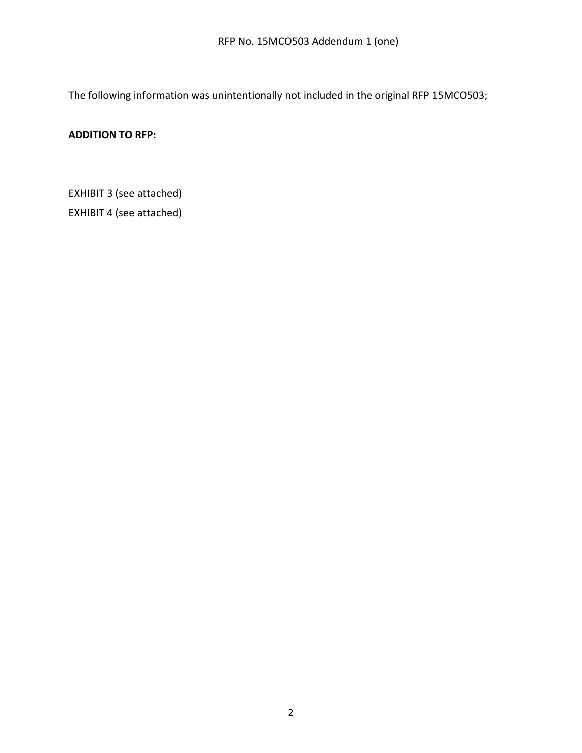The following information was unintentionally not included in the original RFP 15MCO503;

## **ADDITION TO RFP:**

EXHIBIT 3 (see attached)

EXHIBIT 4 (see attached)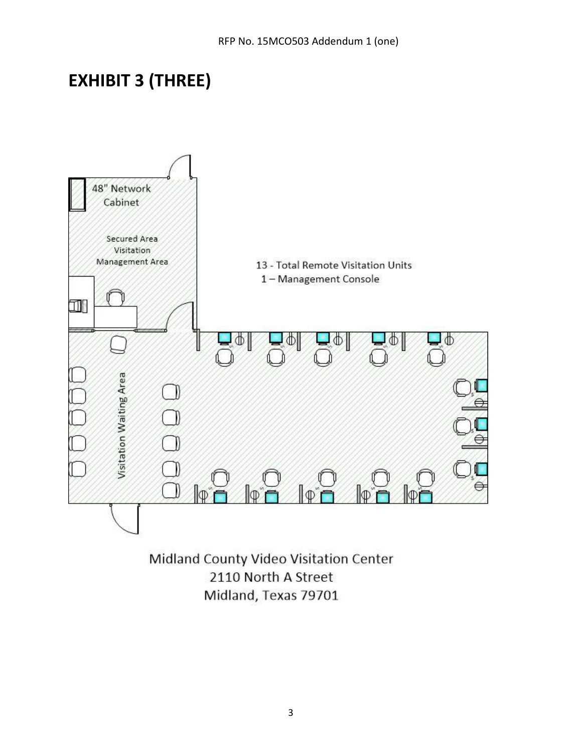# **EXHIBIT 3 (THREE)**



Midland County Video Visitation Center 2110 North A Street Midland, Texas 79701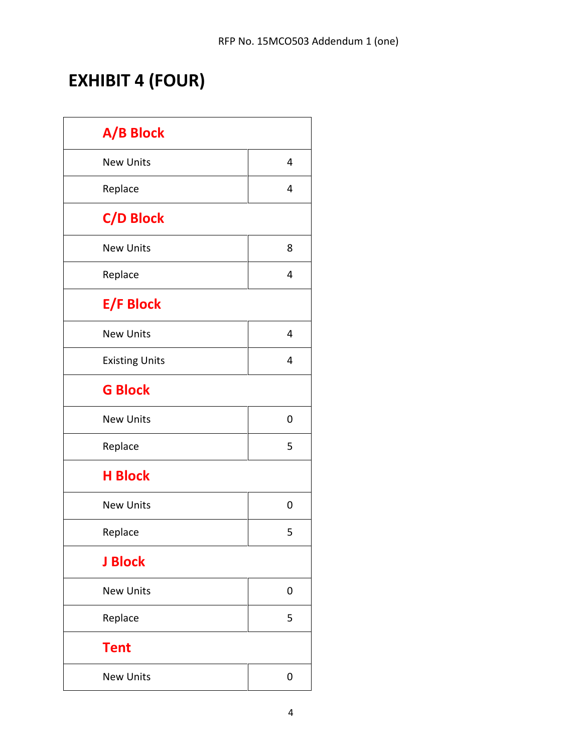# **EXHIBIT 4 (FOUR)**

| A/B Block             |   |
|-----------------------|---|
| <b>New Units</b>      | 4 |
| Replace               | 4 |
| <b>C/D Block</b>      |   |
| <b>New Units</b>      | 8 |
| Replace               | 4 |
| <b>E/F Block</b>      |   |
| <b>New Units</b>      | 4 |
| <b>Existing Units</b> | 4 |
| <b>G Block</b>        |   |
| <b>New Units</b>      | 0 |
| Replace               | 5 |
| <b>H Block</b>        |   |
| <b>New Units</b>      | 0 |
| Replace               | 5 |
| <b>J Block</b>        |   |
| <b>New Units</b>      | 0 |
| Replace               | 5 |
| <b>Tent</b>           |   |
| <b>New Units</b>      | 0 |